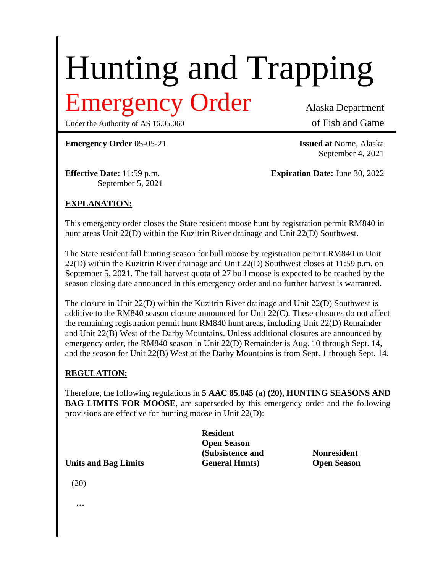# Hunting and Trapping

# Emergency Order Alaska Department

Under the Authority of AS 16.05.060 of Fish and Game

**Emergency Order** 05-05-21 **Issued at** Nome, Alaska

September 4, 2021

September 5, 2021

**Effective Date:** 11:59 p.m. **Expiration Date:** June 30, 2022

## **EXPLANATION:**

This emergency order closes the State resident moose hunt by registration permit RM840 in hunt areas Unit 22(D) within the Kuzitrin River drainage and Unit 22(D) Southwest.

The State resident fall hunting season for bull moose by registration permit RM840 in Unit 22(D) within the Kuzitrin River drainage and Unit 22(D) Southwest closes at 11:59 p.m. on September 5, 2021. The fall harvest quota of 27 bull moose is expected to be reached by the season closing date announced in this emergency order and no further harvest is warranted.

The closure in Unit 22(D) within the Kuzitrin River drainage and Unit 22(D) Southwest is additive to the RM840 season closure announced for Unit 22(C). These closures do not affect the remaining registration permit hunt RM840 hunt areas, including Unit 22(D) Remainder and Unit 22(B) West of the Darby Mountains. Unless additional closures are announced by emergency order, the RM840 season in Unit 22(D) Remainder is Aug. 10 through Sept. 14, and the season for Unit 22(B) West of the Darby Mountains is from Sept. 1 through Sept. 14.

#### **REGULATION:**

Therefore, the following regulations in **5 AAC 85.045 (a) (20), HUNTING SEASONS AND BAG LIMITS FOR MOOSE**, are superseded by this emergency order and the following provisions are effective for hunting moose in Unit 22(D):

**Resident Open Season (Subsistence and Nonresident Units and Bag Limits General Hunts) Open Season**

(20)

**…**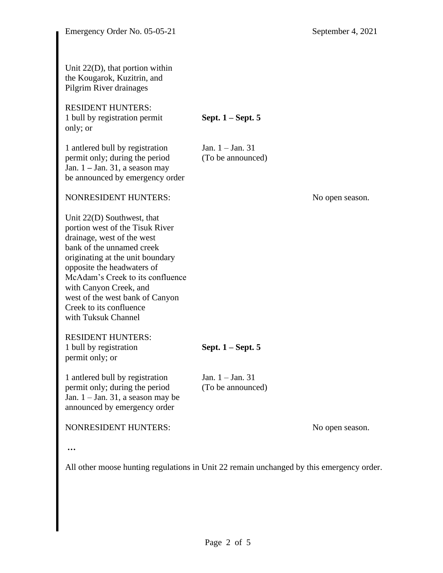Unit 22(D), that portion within the Kougarok, Kuzitrin, and Pilgrim River drainages RESIDENT HUNTERS: 1 bull by registration permit **Sept. 1 – Sept. 5** only; or 1 antlered bull by registration Jan. 1 – Jan. 31 permit only; during the period (To be announced) Jan. 1 **–** Jan. 31, a season may be announced by emergency order NONRESIDENT HUNTERS: No open season. Unit 22(D) Southwest, that portion west of the Tisuk River drainage, west of the west bank of the unnamed creek originating at the unit boundary opposite the headwaters of McAdam's Creek to its confluence with Canyon Creek, and west of the west bank of Canyon Creek to its confluence with Tuksuk Channel RESIDENT HUNTERS: 1 bull by registration **Sept. 1 – Sept. 5** permit only; or 1 antlered bull by registration Jan. 1 – Jan. 31 permit only; during the period (To be announced) Jan. 1 – Jan. 31, a season may be announced by emergency order NONRESIDENT HUNTERS: No open season. **…**

All other moose hunting regulations in Unit 22 remain unchanged by this emergency order.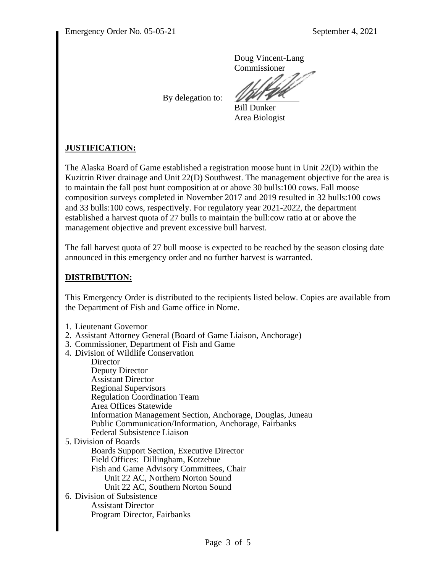Doug Vincent-Lang Commissioner

By delegation to:

Bill Dunker Area Biologist

## **JUSTIFICATION:**

The Alaska Board of Game established a registration moose hunt in Unit 22(D) within the Kuzitrin River drainage and Unit 22(D) Southwest. The management objective for the area is to maintain the fall post hunt composition at or above 30 bulls:100 cows. Fall moose composition surveys completed in November 2017 and 2019 resulted in 32 bulls:100 cows and 33 bulls:100 cows, respectively. For regulatory year 2021-2022, the department established a harvest quota of 27 bulls to maintain the bull:cow ratio at or above the management objective and prevent excessive bull harvest.

The fall harvest quota of 27 bull moose is expected to be reached by the season closing date announced in this emergency order and no further harvest is warranted.

#### **DISTRIBUTION:**

This Emergency Order is distributed to the recipients listed below. Copies are available from the Department of Fish and Game office in Nome.

- 1. Lieutenant Governor
- 2. Assistant Attorney General (Board of Game Liaison, Anchorage)
- 3. Commissioner, Department of Fish and Game
- 4. Division of Wildlife Conservation

**Director** Deputy Director Assistant Director Regional Supervisors Regulation Coordination Team Area Offices Statewide Information Management Section, Anchorage, Douglas, Juneau Public Communication/Information, Anchorage, Fairbanks Federal Subsistence Liaison 5. Division of Boards

Boards Support Section, Executive Director Field Offices: Dillingham, Kotzebue Fish and Game Advisory Committees, Chair Unit 22 AC, Northern Norton Sound Unit 22 AC, Southern Norton Sound

6. Division of Subsistence Assistant Director Program Director, Fairbanks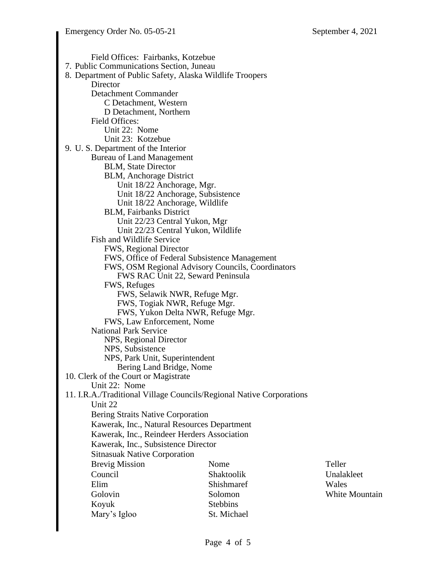Field Offices: Fairbanks, Kotzebue 7. Public Communications Section, Juneau 8. Department of Public Safety, Alaska Wildlife Troopers **Director** Detachment Commander C Detachment, Western D Detachment, Northern Field Offices: Unit 22: Nome Unit 23: Kotzebue 9. U. S. Department of the Interior Bureau of Land Management BLM, State Director BLM, Anchorage District Unit 18/22 Anchorage, Mgr. Unit 18/22 Anchorage, Subsistence Unit 18/22 Anchorage, Wildlife BLM, Fairbanks District Unit 22/23 Central Yukon, Mgr Unit 22/23 Central Yukon, Wildlife Fish and Wildlife Service FWS, Regional Director FWS, Office of Federal Subsistence Management FWS, OSM Regional Advisory Councils, Coordinators FWS RAC Unit 22, Seward Peninsula FWS, Refuges FWS, Selawik NWR, Refuge Mgr. FWS, Togiak NWR, Refuge Mgr. FWS, Yukon Delta NWR, Refuge Mgr. FWS, Law Enforcement, Nome National Park Service NPS, Regional Director NPS, Subsistence NPS, Park Unit, Superintendent Bering Land Bridge, Nome 10. Clerk of the Court or Magistrate Unit 22: Nome 11. I.R.A./Traditional Village Councils/Regional Native Corporations Unit 22 Bering Straits Native Corporation Kawerak, Inc., Natural Resources Department Kawerak, Inc., Reindeer Herders Association Kawerak, Inc., Subsistence Director Sitnasuak Native Corporation Brevig Mission Council Elim Golovin Koyuk Mary's Igloo Nome Shaktoolik Shishmaref Solomon Stebbins St. Michael Teller Unalakleet Wales White Mountain